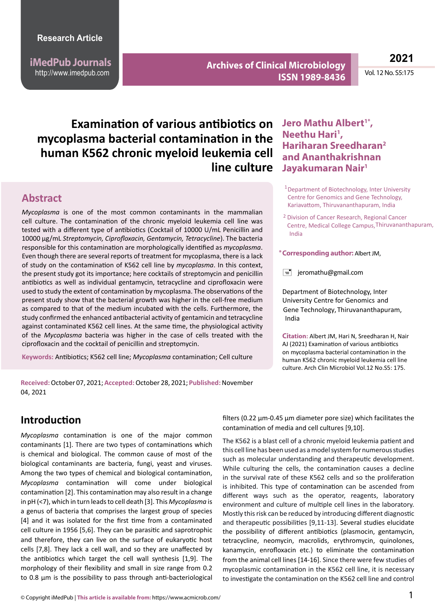**iMedPub Journals** http://www.imedpub.com

**Archives of Clinical Microbiology ISSN 1989-8436**

**2021**

Vol. 12 No. S5:175

# **Examination of various antibiotics on mycoplasma bacterial contamination in the human K562 chronic myeloid leukemia cell line culture**

### **Abstract**

*Mycoplasma* is one of the most common contaminants in the mammalian cell culture. The contamination of the chronic myeloid leukemia cell line was tested with a different type of antibiotics (Cocktail of 10000 U/mL Penicillin and 10000 µg/mL *Streptomycin, Ciprofloxacin, Gentamycin, Tetracycline*). The bacteria responsible for this contamination are morphologically identified as *mycoplasma*. Even though there are several reports of treatment for mycoplasma, there is a lack of study on the contamination of K562 cell line by *mycoplasma*. In this context, the present study got its importance; here cocktails of streptomycin and penicillin antibiotics as well as individual gentamycin, tetracycline and ciprofloxacin were used to study the extent of contamination by mycoplasma. The observations of the present study show that the bacterial growth was higher in the cell-free medium as compared to that of the medium incubated with the cells. Furthermore, the study confirmed the enhanced antibacterial activity of gentamicin and tetracycline against contaminated K562 cell lines. At the same time, the physiological activity of the *Mycoplasma* bacteria was higher in the case of cells treated with the ciprofloxacin and the cocktail of penicillin and streptomycin.

**Keywords:** Antibiotics; K562 cell line; *Mycoplasma* contamination; Cell culture

### Jero Mathu Albert<sup>1\*</sup>, Neethu Hari<sup>1</sup>, **Hariharan Sreedharan2 and Ananthakrishnan Jayakumaran Nair1** <sup>1</sup>

- <sup>1</sup> Department of Biotechnology, Inter University Centre for Genomics and Gene Technology, Kariavattom, Thiruvananthapuram, India
- <sup>2</sup> Division of Cancer Research, Regional Cancer Centre, Medical College Campus, Thiruvananthapuram, India

**Corresponding author:** Albert JM, **\***

 $\equiv$  jeromathu@gmail.com

Department of Biotechnology, Inter University Centre for Genomics and Gene Technology, Thiruvananthapuram, India

**Citation:** Albert JM, Hari N, Sreedharan H, Nair AJ (2021) Examination of various antibiotics on mycoplasma bacterial contamination in the human K562 chronic myeloid leukemia cell line culture. Arch Clin Microbiol Vol.12 No.S5: 175.

**Received:**October 07, 2021;**Accepted:** October 28, 2021; **Published:** November 04, 2021

### **Introduction**

*Mycoplasma* contamination is one of the major common contaminants [1]. There are two types of contaminations which is chemical and biological. The common cause of most of the biological contaminants are bacteria, fungi, yeast and viruses. Among the two types of chemical and biological contamination, *Mycoplasma* contamination will come under biological contamination [2]. This contamination may also result in a change in pH (<7), which in turn leads to cell death [3]. This *Mycoplasma* is a genus of bacteria that comprises the largest group of species [4] and it was isolated for the first time from a contaminated cell culture in 1956 [5,6]. They can be parasitic and saprotrophic and therefore, they can live on the surface of eukaryotic host cells [7,8]. They lack a cell wall, and so they are unaffected by the antibiotics which target the cell wall synthesis [1,9]. The morphology of their flexibility and small in size range from 0.2 to 0.8 µm is the possibility to pass through anti-bacteriological

filters (0.22 µm-0.45 µm diameter pore size) which facilitates the contamination of media and cell cultures [9,10].

The K562 is a blast cell of a chronic myeloid leukemia patient and this cell line has been used as a model system for numerous studies such as molecular understanding and therapeutic development. While culturing the cells, the contamination causes a decline in the survival rate of these K562 cells and so the proliferation is inhibited. This type of contamination can be ascended from different ways such as the operator, reagents, laboratory environment and culture of multiple cell lines in the laboratory. Mostly this risk can be reduced by introducing different diagnostic and therapeutic possibilities [9,11-13]. Several studies elucidate the possibility of different antibiotics (plasmocin, gentamycin, tetracycline, neomycin, macrolids, erythromycin, quinolones, kanamycin, enrofloxacin etc.) to eliminate the contamination from the animal cell lines [14-16]. Since there were few studies of mycoplasmic contamination in the K562 cell line, it is necessary to investigate the contamination on the K562 cell line and control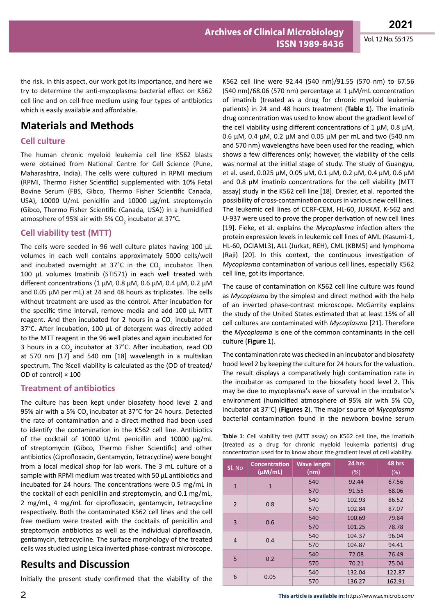the risk. In this aspect, our work got its importance, and here we try to determine the anti-mycoplasma bacterial effect on K562 cell line and on cell-free medium using four types of antibiotics which is easily available and affordable.

## **Materials and Methods**

#### **Cell culture**

The human chronic myeloid leukemia cell line K562 blasts were obtained from National Centre for Cell Science (Pune, Maharashtra, India). The cells were cultured in RPMI medium (RPMI, Thermo Fisher Scientific) supplemented with 10% Fetal Bovine Serum (FBS, Gibco, Thermo Fisher Scientific Canada, USA), 10000 U/mL penicillin and 10000 µg/mL streptomycin (Gibco, Thermo Fisher Scientific (Canada, USA)) in a humidified atmosphere of 95% air with 5% CO<sub>2</sub> incubator at 37°C.

#### **Cell viability test (MTT)**

The cells were seeded in 96 well culture plates having 100 µL volumes in each well contains approximately 5000 cells/well and incubated overnight at  $37^{\circ}$ C in the CO<sub>2</sub> incubator. Then 100 µL volumes Imatinib (STI571) in each well treated with different concentrations (1 μM, 0.8 μM, 0.6 μM, 0.4 μM, 0.2 μM and 0.05 µM per mL) at 24 and 48 hours as triplicates. The cells without treatment are used as the control. After incubation for the specific time interval, remove media and add 100 µL MTT reagent. And then incubated for 2 hours in a CO<sub>2</sub> incubator at 37°C. After incubation, 100 µL of detergent was directly added to the MTT reagent in the 96 well plates and again incubated for 3 hours in a CO<sub>2</sub> incubator at 37°C. After incubation, read OD at 570 nm [17] and 540 nm [18] wavelength in a multiskan spectrum. The %cell viability is calculated as the (OD of treated/ OD of control) × 100

#### **Treatment of antibiotics**

The culture has been kept under biosafety hood level 2 and 95% air with a 5% CO<sub>2</sub> incubator at 37°C for 24 hours. Detected the rate of contamination and a direct method had been used to identify the contamination in the K562 cell line. Antibiotics of the cocktail of 10000 U/mL penicillin and 10000 µg/mL of streptomycin (Gibco, Thermo Fisher Scientific) and other antibiotics (Ciprofloxacin, Gentamycin, Tetracycline) were bought from a local medical shop for lab work. The 3 mL culture of a sample with RPMI medium was treated with 50 µL antibiotics and incubated for 24 hours. The concentrations were 0.5 mg/mL in the cocktail of each penicillin and streptomycin, and 0.1 mg/mL, 2 mg/mL, 4 mg/mL for ciprofloxacin, gentamycin, tetracycline respectively. Both the contaminated K562 cell lines and the cell free medium were treated with the cocktails of penicillin and streptomycin antibiotics as well as the individual ciprofloxacin, gentamycin, tetracycline. The surface morphology of the treated cells was studied using Leica inverted phase-contrast microscope.

## **Results and Discussion**

Initially the present study confirmed that the viability of the

K562 cell line were 92.44 (540 nm)/91.55 (570 nm) to 67.56 (540 nm)/68.06 (570 nm) percentage at 1 µM/mL concentration of imatinib (treated as a drug for chronic myeloid leukemia patients) in 24 and 48 hours treatment (**Table 1**). The imatinib drug concentration was used to know about the gradient level of the cell viability using different concentrations of 1  $\mu$ M, 0.8  $\mu$ M, 0.6 µM, 0.4 µM, 0.2 µM and 0.05 µM per mL and two (540 nm and 570 nm) wavelengths have been used for the reading, which shows a few differences only; however, the viability of the cells was normal at the initial stage of study. The study of Guangyu, et al. used, 0.025 µM, 0.05 µM, 0.1 µM, 0.2 µM, 0.4 µM, 0.6 µM and 0.8  $\mu$ M imatinib concentrations for the cell viability (MTT assay) study in the K562 cell line [18]. Drexler, et al. reported the possibility of cross-contamination occurs in various new cell lines. The leukemic cell lines of CCRF-CEM, HL-60, JURKAT, K-562 and U-937 were used to prove the proper derivation of new cell lines [19]. Fieke, et al. explains the *Mycoplasma* infection alters the protein expression levels in leukemic cell lines of AML (Kasumi-1, HL-60, OCIAML3), ALL (Jurkat, REH), CML (KBM5) and lymphoma (Raji) [20]. In this context, the continuous investigation of *Mycoplasma* contamination of various cell lines, especially K562 cell line, got its importance.

The cause of contamination on K562 cell line culture was found as *Mycoplasma* by the simplest and direct method with the help of an inverted phase-contrast microscope. McGarrity explains the study of the United States estimated that at least 15% of all cell cultures are contaminated with *Mycoplasma* [21]. Therefore the *Mycoplasma* is one of the common contaminants in the cell culture (**Figure 1**).

The contamination rate was checked in an incubator and biosafety hood level 2 by keeping the culture for 24 hours for the valuation. The result displays a comparatively high contamination rate in the incubator as compared to the biosafety hood level 2. This may be due to mycoplasma's ease of survival in the incubator's environment (humidified atmosphere of 95% air with 5%  $CO<sub>2</sub>$ incubator at 37°C) (**Figures 2**). The major source of *Mycoplasma*  bacterial contamination found in the newborn bovine serum

**Table 1**: Cell viability test (MTT assay) on K562 cell line, the imatinib (treated as a drug for chronic myeloid leukemia patients) drug concentration used for to know about the gradient level of cell viability.

| SI. No         | <b>Concentration</b> | <b>Wave length</b> | 24 hrs | 48 hrs |
|----------------|----------------------|--------------------|--------|--------|
|                | $(\mu M/mL)$         | (nm)               | (%)    | (%)    |
| $\mathbf{1}$   | $\mathbf{1}$         | 540                | 92.44  | 67.56  |
|                |                      | 570                | 91.55  | 68.06  |
| $\overline{2}$ | 0.8                  | 540                | 102.93 | 86.52  |
|                |                      | 570                | 102.84 | 87.07  |
| 3              | 0.6                  | 540                | 100.69 | 79.84  |
|                |                      | 570                | 101.25 | 78.78  |
| $\overline{4}$ | 0.4                  | 540                | 104.37 | 96.04  |
|                |                      | 570                | 104.87 | 94.41  |
| 5              | 0.2                  | 540                | 72.08  | 76.49  |
|                |                      | 570                | 70.21  | 75.04  |
| 6              | 0.05                 | 540                | 132.04 | 122.87 |
|                |                      | 570                | 136.27 | 162.91 |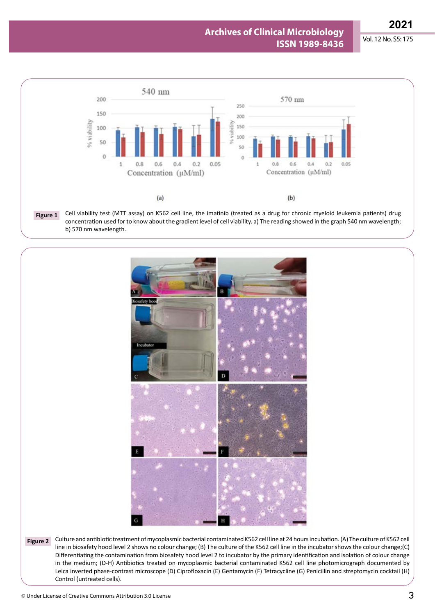

concentration used for to know about the gradient level of cell viability. a) The reading showed in the graph 540 nm wavelength; b) 570 nm wavelength.



Culture and antibiotic treatment of mycoplasmic bacterial contaminated K562 cell line at 24 hours incubation. (A) The culture of K562 cell **Figure 2**line in biosafety hood level 2 shows no colour change; (B) The culture of the K562 cell line in the incubator shows the colour change;(C) Differentiating the contamination from biosafety hood level 2 to incubator by the primary identification and isolation of colour change in the medium; (D-H) Antibiotics treated on mycoplasmic bacterial contaminated K562 cell line photomicrograph documented by Leica inverted phase-contrast microscope (D) Ciprofloxacin (E) Gentamycin (F) Tetracycline (G) Penicillin and streptomycin cocktail (H) Control (untreated cells).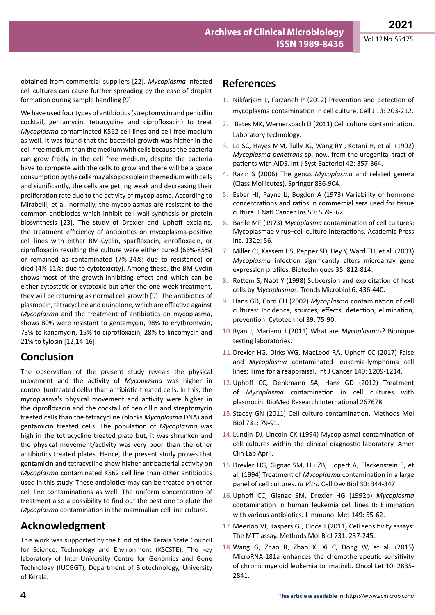obtained from commercial suppliers [22]. *Mycoplasma* infected cell cultures can cause further spreading by the ease of droplet formation during sample handling [9].

We have used four types of antibiotics (streptomycin and penicillin cocktail, gentamycin, tetracycline and ciprofloxacin) to treat *Mycoplasma* contaminated K562 cell lines and cell-free medium as well. It was found that the bacterial growth was higher in the cell-free medium than the medium with cells because the bacteria can grow freely in the cell free medium, despite the bacteria have to compete with the cells to grow and there will be a space consumption by the cells may also possible in the medium with cells and significantly, the cells are getting weak and decreasing their proliferation rate due to the activity of mycoplasma. According to [Mirabelli](https://www.ncbi.nlm.nih.gov/pubmed/?term=Mirabelli P%5BAuthor%5D&cauthor=true&cauthor_uid=31374935), et al. normally, the mycoplasmas are resistant to the common antibiotics which inhibit cell wall synthesis or protein biosynthesis [23]. The study of Drexler and Uphoff explains, the treatment efficiency of antibiotics on mycoplasma-positive cell lines with either BM-Cyclin, sparfloxacin, enrofloxacin, or ciprofloxacin resulting the culture were either cured (66%-85%) or remained as contaminated (7%-24%; due to resistance) or died (4%-11%; due to cytotoxicity). Among these, the BM-Cyclin shows most of the growth-inhibiting effect and which can be either cytostatic or cytotoxic but after the one week treatment, they will be returning as normal cell growth [9]. The antibiotics of plasmocin, tetracycline and quinolone, which are effective against *Mycoplasma* and the treatment of antibiotics on mycoplasma, shows 80% were resistant to gentamycin, 98% to erythromycin, 73% to kanamycin, 15% to ciprofloxacin, 28% to lincomycin and 21% to tylosin [12,14-16].

### **Conclusion**

The observation of the present study reveals the physical movement and the activity of *Mycoplasma* was higher in control (untreated cells) than antibiotic-treated cells. In this, the mycoplasma's physical movement and activity were higher in the ciprofloxacin and the cocktail of penicillin and streptomycin treated cells than the tetracycline (blocks *Mycoplasma* DNA) and gentamicin treated cells. The population of *Mycoplasma* was high in the tetracycline treated plate but, it was shrunken and the physical movement/activity was very poor than the other antibiotics treated plates. Hence, the present study proves that gentamicin and tetracycline show higher antibacterial activity on *Mycoplasma* contaminated K562 cell line than other antibiotics used in this study. These antibiotics may can be treated on other cell line contaminations as well. The uniform concentration of treatment also a possibility to find out the best one to elute the *Mycoplasma* contamination in the mammalian cell line culture.

## **Acknowledgment**

This work was supported by the fund of the Kerala State Council for Science, Technology and Environment (KSCSTE). The key laboratory of Inter-University Centre for Genomics and Gene Technology (IUCGGT), Department of Biotechnology, University of Kerala.

## **References**

- 1. Nikfarjam L, Farzaneh P (2012) Prevention and detection of mycoplasma contamination in cell culture. Cell J 13: 203-212.
- 2. Bates MK, [Wernerspach D \(2011\) Cell culture contamination.](https://www.labmanager.com/author/douglas-wernerspach)  [Laboratory technology.](https://www.labmanager.com/author/douglas-wernerspach)
- 3. Lo SC, Hayes MM, Tully JG, Wang [RY](https://pubmed.ncbi.nlm.nih.gov/?term=Wang+RY&cauthor_id=1503969) , Kotani [H,](https://pubmed.ncbi.nlm.nih.gov/?term=Kotani+H&cauthor_id=1503969) et al. (1992) *Mycoplasma penetrans* sp. nov., from the urogenital tract of patients with AIDS. Int J Syst Bacteriol 42: 357-364.
- 4. Razin S (2006) The genus *Mycoplasma* [and related genera](https://doi.org/10.1007/0-387-30744-3_29)  [\(Class Mollicutes\).](https://doi.org/10.1007/0-387-30744-3_29) Springer 836-904.
- 5. [Esber HJ, Payne IJ, Bogden A \(1973\) Variability of hormone](https://doi.org/10.1093/jnci/50.2.559)  [concentrations and ratios in commercial sera used for tissue](https://doi.org/10.1093/jnci/50.2.559)  culture. [J Natl Cancer Ins 50: 559-562.](https://doi.org/10.1093/jnci/50.2.559)
- 6. Barile MF (1973) *Mycoplasma* contamination of cell cultures: Mycoplasmae virus–cell culture interactions. Academic Press Inc. 132e: 56.
- 7. [Miller CJ, Kassem HS, Pepper SD, Hey Y, Ward TH, et al. \(2003\)](https://doi.org/10.2144/03354mt02)  *Mycoplasma* [infection significantly alters microarray gene](https://doi.org/10.2144/03354mt02)  [expression profiles. Biotechniques 35: 812-814.](https://doi.org/10.2144/03354mt02)
- 8. [Rottem S, Naot Y \(1998\) Subversion and exploitation of host](https://doi.org/10.1016/s0966-842x(98)01358-4)  cells by *Mycoplasmas*[. Trends Microbiol 6: 436-440.](https://doi.org/10.1016/s0966-842x(98)01358-4)
- 9. [Hans GD, Cord CU \(2002\)](https://doi.org/10.1023/A:1022913015916) *Mycoplasma* contamination of cell [cultures: Incidence, sources, effects, detection, elimination,](https://doi.org/10.1023/A:1022913015916)  [prevention. Cytotechnol 39: 75-90.](https://doi.org/10.1023/A:1022913015916)
- 10. [Ryan J, Mariano J \(2011\) What are](https://www.bionique.com/mycoplasma-resources/faq/what-are-mycoplasmas.html) *Mycoplasmas*? Bionique [testing laboratories.](https://www.bionique.com/mycoplasma-resources/faq/what-are-mycoplasmas.html)
- 11.[Drexler HG, Dirks WG, MacLeod RA, Uphoff CC \(2017\) False](https://doi.org/10.1002/ijc.30530)  and *Mycoplasma* [contaminated leukemia-lymphoma cell](https://doi.org/10.1002/ijc.30530)  [lines: Time for a reappraisal. Int J Cancer 140: 1209-1214.](https://doi.org/10.1002/ijc.30530)
- 12.[Uphoff CC, Denkmann SA, Hans GD \(2012\) Treatment](https://doi.org/10.1155/2012/267678)  of *Mycoplasma* [contamination in cell cultures with](https://doi.org/10.1155/2012/267678)  plasmocin. [BioMed Research International 267678.](https://doi.org/10.1155/2012/267678)
- 13. [Stacey GN \(2011\) Cell culture contamination. Methods Mol](https://doi.org/10.1007/978-1-61779-080-5_7)  [Biol 731: 79-91.](https://doi.org/10.1007/978-1-61779-080-5_7)
- 14. Lundin DJ, Lincoln CK (1994) Mycoplasmal contamination of cell cultures within the clinical diagnostic laboratory. Amer Clin Lab April.
- 15.[Drexler HG, Gignac SM, Hu ZB, Hopert A, Fleckenstein E, et](https://doi.org/10.1007/BF02631456)  al. (1994) Treatment of *Mycoplasma* [contamination in a large](https://doi.org/10.1007/BF02631456)  panel of cell cultures. *In Vitro* [Cell Dev Biol 30: 344-347.](https://doi.org/10.1007/BF02631456)
- 16.[Uphoff CC, Gignac SM, Drexler HG \(1992b\)](https://doi.org/10.1016/s0022-1759(12)80048-2) *Mycoplasma* [contamination in human leukemia cell lines II: Elimination](https://doi.org/10.1016/s0022-1759(12)80048-2)  [with various antibiotics. J Immunol Met 149: 55-62.](https://doi.org/10.1016/s0022-1759(12)80048-2)
- 17. [Meerloo VJ, Kaspers GJ, Cloos J \(2011\) Cell sensitivity assays:](https://doi.org/10.1007/978-1-61779-080-5_20)  [The MTT assay. Methods Mol Biol 731: 237-245.](https://doi.org/10.1007/978-1-61779-080-5_20)
- 18. [Wang G, Zhao R, Zhao X, Xi C, Dong W, et al. \(2015\)](https://doi.org/10.3892/ol.2015.3663)  [MicroRNA‑181a enhances the chemotherapeutic sensitivity](https://doi.org/10.3892/ol.2015.3663)  [of chronic myeloid leukemia to imatinib. Oncol Let 10: 2835-](https://doi.org/10.3892/ol.2015.3663) [2841.](https://doi.org/10.3892/ol.2015.3663)